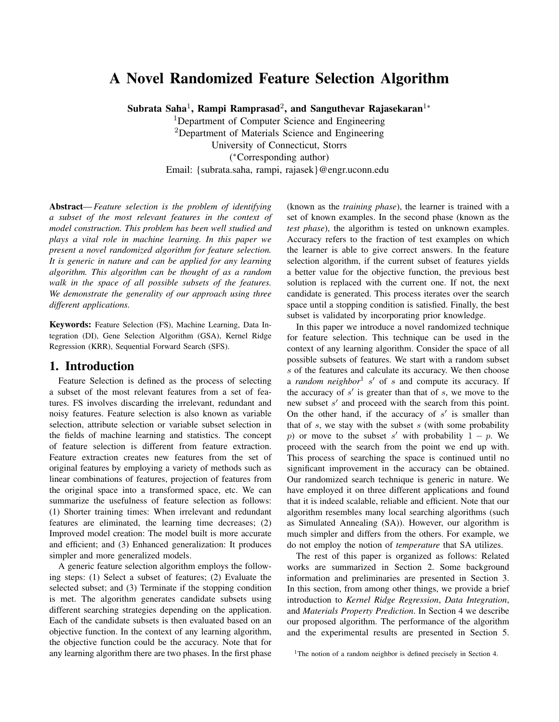# A Novel Randomized Feature Selection Algorithm

Subrata Saha $^1$ , Rampi Ramprasad $^2$ , and Sanguthevar Rajasekaran $^{1\ast}$ 

<sup>1</sup>Department of Computer Science and Engineering <sup>2</sup>Department of Materials Science and Engineering University of Connecticut, Storrs ( <sup>∗</sup>Corresponding author) Email: {subrata.saha, rampi, rajasek}@engr.uconn.edu

Abstract—*Feature selection is the problem of identifying a subset of the most relevant features in the context of model construction. This problem has been well studied and plays a vital role in machine learning. In this paper we present a novel randomized algorithm for feature selection. It is generic in nature and can be applied for any learning algorithm. This algorithm can be thought of as a random walk in the space of all possible subsets of the features. We demonstrate the generality of our approach using three different applications.*

Keywords: Feature Selection (FS), Machine Learning, Data Integration (DI), Gene Selection Algorithm (GSA), Kernel Ridge Regression (KRR), Sequential Forward Search (SFS).

## 1. Introduction

Feature Selection is defined as the process of selecting a subset of the most relevant features from a set of features. FS involves discarding the irrelevant, redundant and noisy features. Feature selection is also known as variable selection, attribute selection or variable subset selection in the fields of machine learning and statistics. The concept of feature selection is different from feature extraction. Feature extraction creates new features from the set of original features by employing a variety of methods such as linear combinations of features, projection of features from the original space into a transformed space, etc. We can summarize the usefulness of feature selection as follows: (1) Shorter training times: When irrelevant and redundant features are eliminated, the learning time decreases; (2) Improved model creation: The model built is more accurate and efficient; and (3) Enhanced generalization: It produces simpler and more generalized models.

A generic feature selection algorithm employs the following steps: (1) Select a subset of features; (2) Evaluate the selected subset; and (3) Terminate if the stopping condition is met. The algorithm generates candidate subsets using different searching strategies depending on the application. Each of the candidate subsets is then evaluated based on an objective function. In the context of any learning algorithm, the objective function could be the accuracy. Note that for any learning algorithm there are two phases. In the first phase (known as the *training phase*), the learner is trained with a set of known examples. In the second phase (known as the *test phase*), the algorithm is tested on unknown examples. Accuracy refers to the fraction of test examples on which the learner is able to give correct answers. In the feature selection algorithm, if the current subset of features yields a better value for the objective function, the previous best solution is replaced with the current one. If not, the next candidate is generated. This process iterates over the search space until a stopping condition is satisfied. Finally, the best subset is validated by incorporating prior knowledge.

In this paper we introduce a novel randomized technique for feature selection. This technique can be used in the context of any learning algorithm. Consider the space of all possible subsets of features. We start with a random subset s of the features and calculate its accuracy. We then choose a *random neighbor*<sup>1</sup> s' of s and compute its accuracy. If the accuracy of  $s'$  is greater than that of  $s$ , we move to the new subset  $s'$  and proceed with the search from this point. On the other hand, if the accuracy of  $s'$  is smaller than that of  $s$ , we stay with the subset  $s$  (with some probability p) or move to the subset s' with probability  $1 - p$ . We proceed with the search from the point we end up with. This process of searching the space is continued until no significant improvement in the accuracy can be obtained. Our randomized search technique is generic in nature. We have employed it on three different applications and found that it is indeed scalable, reliable and efficient. Note that our algorithm resembles many local searching algorithms (such as Simulated Annealing (SA)). However, our algorithm is much simpler and differs from the others. For example, we do not employ the notion of *temperature* that SA utilizes.

The rest of this paper is organized as follows: Related works are summarized in Section 2. Some background information and preliminaries are presented in Section 3. In this section, from among other things, we provide a brief introduction to *Kernel Ridge Regression*, *Data Integration*, and *Materials Property Prediction*. In Section 4 we describe our proposed algorithm. The performance of the algorithm and the experimental results are presented in Section 5.

<sup>&</sup>lt;sup>1</sup>The notion of a random neighbor is defined precisely in Section 4.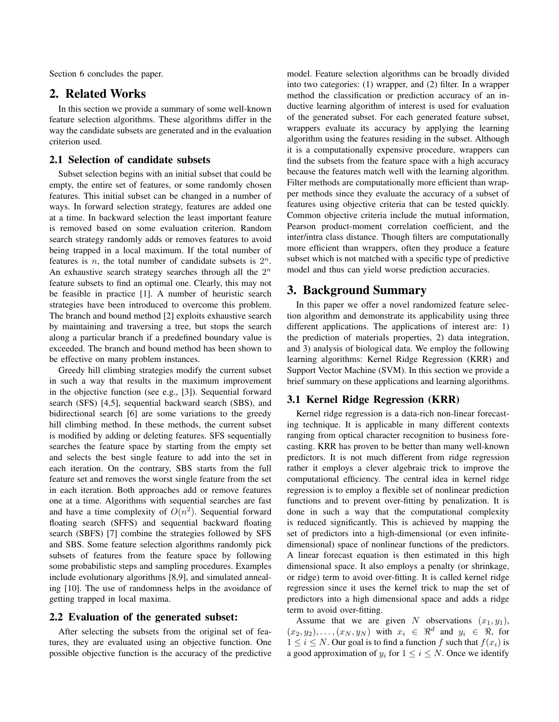Section 6 concludes the paper.

## 2. Related Works

In this section we provide a summary of some well-known feature selection algorithms. These algorithms differ in the way the candidate subsets are generated and in the evaluation criterion used.

### 2.1 Selection of candidate subsets

Subset selection begins with an initial subset that could be empty, the entire set of features, or some randomly chosen features. This initial subset can be changed in a number of ways. In forward selection strategy, features are added one at a time. In backward selection the least important feature is removed based on some evaluation criterion. Random search strategy randomly adds or removes features to avoid being trapped in a local maximum. If the total number of features is  $n$ , the total number of candidate subsets is  $2^n$ . An exhaustive search strategy searches through all the  $2<sup>n</sup>$ feature subsets to find an optimal one. Clearly, this may not be feasible in practice [1]. A number of heuristic search strategies have been introduced to overcome this problem. The branch and bound method [2] exploits exhaustive search by maintaining and traversing a tree, but stops the search along a particular branch if a predefined boundary value is exceeded. The branch and bound method has been shown to be effective on many problem instances.

Greedy hill climbing strategies modify the current subset in such a way that results in the maximum improvement in the objective function (see e.g., [3]). Sequential forward search (SFS) [4,5], sequential backward search (SBS), and bidirectional search [6] are some variations to the greedy hill climbing method. In these methods, the current subset is modified by adding or deleting features. SFS sequentially searches the feature space by starting from the empty set and selects the best single feature to add into the set in each iteration. On the contrary, SBS starts from the full feature set and removes the worst single feature from the set in each iteration. Both approaches add or remove features one at a time. Algorithms with sequential searches are fast and have a time complexity of  $O(n^2)$ . Sequential forward floating search (SFFS) and sequential backward floating search (SBFS) [7] combine the strategies followed by SFS and SBS. Some feature selection algorithms randomly pick subsets of features from the feature space by following some probabilistic steps and sampling procedures. Examples include evolutionary algorithms [8,9], and simulated annealing [10]. The use of randomness helps in the avoidance of getting trapped in local maxima.

#### 2.2 Evaluation of the generated subset:

After selecting the subsets from the original set of features, they are evaluated using an objective function. One possible objective function is the accuracy of the predictive model. Feature selection algorithms can be broadly divided into two categories: (1) wrapper, and (2) filter. In a wrapper method the classification or prediction accuracy of an inductive learning algorithm of interest is used for evaluation of the generated subset. For each generated feature subset, wrappers evaluate its accuracy by applying the learning algorithm using the features residing in the subset. Although it is a computationally expensive procedure, wrappers can find the subsets from the feature space with a high accuracy because the features match well with the learning algorithm. Filter methods are computationally more efficient than wrapper methods since they evaluate the accuracy of a subset of features using objective criteria that can be tested quickly. Common objective criteria include the mutual information, Pearson product-moment correlation coefficient, and the inter/intra class distance. Though filters are computationally more efficient than wrappers, often they produce a feature subset which is not matched with a specific type of predictive model and thus can yield worse prediction accuracies.

## 3. Background Summary

In this paper we offer a novel randomized feature selection algorithm and demonstrate its applicability using three different applications. The applications of interest are: 1) the prediction of materials properties, 2) data integration, and 3) analysis of biological data. We employ the following learning algorithms: Kernel Ridge Regression (KRR) and Support Vector Machine (SVM). In this section we provide a brief summary on these applications and learning algorithms.

#### 3.1 Kernel Ridge Regression (KRR)

Kernel ridge regression is a data-rich non-linear forecasting technique. It is applicable in many different contexts ranging from optical character recognition to business forecasting. KRR has proven to be better than many well-known predictors. It is not much different from ridge regression rather it employs a clever algebraic trick to improve the computational efficiency. The central idea in kernel ridge regression is to employ a flexible set of nonlinear prediction functions and to prevent over-fitting by penalization. It is done in such a way that the computational complexity is reduced significantly. This is achieved by mapping the set of predictors into a high-dimensional (or even infinitedimensional) space of nonlinear functions of the predictors. A linear forecast equation is then estimated in this high dimensional space. It also employs a penalty (or shrinkage, or ridge) term to avoid over-fitting. It is called kernel ridge regression since it uses the kernel trick to map the set of predictors into a high dimensional space and adds a ridge term to avoid over-fitting.

Assume that we are given N observations  $(x_1, y_1)$ ,  $(x_2, y_2), \ldots, (x_N, y_N)$  with  $x_i \in \Re^d$  and  $y_i \in \Re$ , for  $1 \leq i \leq N$ . Our goal is to find a function f such that  $f(x_i)$  is a good approximation of  $y_i$  for  $1 \le i \le N$ . Once we identify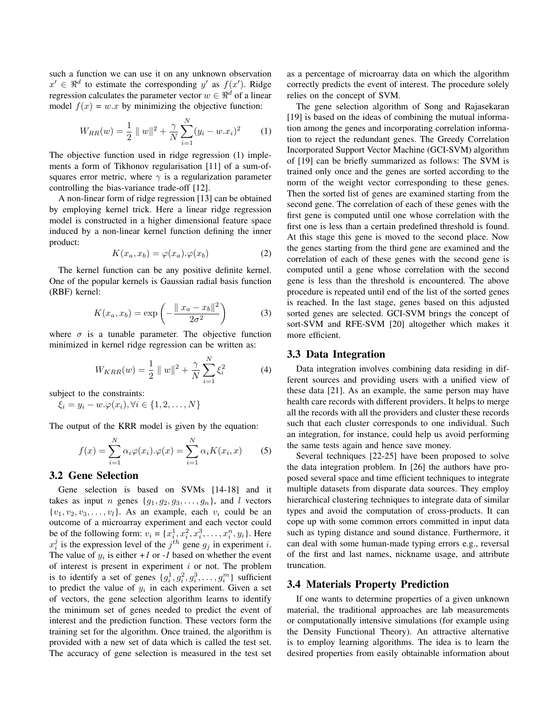such a function we can use it on any unknown observation  $x' \in \mathbb{R}^d$  to estimate the corresponding y' as  $f(x')$ . Ridge regression calculates the parameter vector  $w \in \mathbb{R}^d$  of a linear model  $f(x) = w \cdot x$  by minimizing the objective function:

$$
W_{RR}(w) = \frac{1}{2} \|w\|^2 + \frac{\gamma}{N} \sum_{i=1}^{N} (y_i - w.x_i)^2
$$
 (1)

The objective function used in ridge regression (1) implements a form of Tikhonov regularisation [11] of a sum-ofsquares error metric, where  $\gamma$  is a regularization parameter controlling the bias-variance trade-off [12].

A non-linear form of ridge regression [13] can be obtained by employing kernel trick. Here a linear ridge regression model is constructed in a higher dimensional feature space induced by a non-linear kernel function defining the inner product:

$$
K(x_a, x_b) = \varphi(x_a). \varphi(x_b)
$$
 (2)

The kernel function can be any positive definite kernel. One of the popular kernels is Gaussian radial basis function (RBF) kernel:

$$
K(x_a, x_b) = \exp\left(-\frac{\|x_a - x_b\|^2}{2\sigma^2}\right)
$$
 (3)

where  $\sigma$  is a tunable parameter. The objective function minimized in kernel ridge regression can be written as:

$$
W_{KRR}(w) = \frac{1}{2} \|w\|^2 + \frac{\gamma}{N} \sum_{i=1}^{N} \xi_i^2
$$
 (4)

subject to the constraints:

$$
\xi_i = y_i - w.\varphi(x_i), \forall i \in \{1, 2, \dots, N\}
$$

The output of the KRR model is given by the equation:

$$
f(x) = \sum_{i=1}^{N} \alpha_i \varphi(x_i) . \varphi(x) = \sum_{i=1}^{N} \alpha_i K(x_i, x)
$$
 (5)

#### 3.2 Gene Selection

Gene selection is based on SVMs [14-18] and it takes as input *n* genes  $\{g_1, g_2, g_3, \ldots, g_n\}$ , and *l* vectors  $\{v_1, v_2, v_3, \ldots, v_l\}$ . As an example, each  $v_i$  could be an outcome of a microarray experiment and each vector could be of the following form:  $v_i = \{x_i^1, x_i^2, x_i^3, ..., x_i^n, y_i\}$ . Here  $x_i^j$  is the expression level of the  $j^{th}$  gene  $g_j$  in experiment *i*. The value of  $y_i$  is either  $+1$  or  $-1$  based on whether the event of interest is present in experiment  $i$  or not. The problem is to identify a set of genes  $\{g_i^1, g_i^2, g_i^3, \ldots, g_i^m\}$  sufficient to predict the value of  $y_i$  in each experiment. Given a set of vectors, the gene selection algorithm learns to identify the minimum set of genes needed to predict the event of interest and the prediction function. These vectors form the training set for the algorithm. Once trained, the algorithm is provided with a new set of data which is called the test set. The accuracy of gene selection is measured in the test set as a percentage of microarray data on which the algorithm correctly predicts the event of interest. The procedure solely relies on the concept of SVM.

The gene selection algorithm of Song and Rajasekaran [19] is based on the ideas of combining the mutual information among the genes and incorporating correlation information to reject the redundant genes. The Greedy Correlation Incorporated Support Vector Machine (GCI-SVM) algorithm of [19] can be briefly summarized as follows: The SVM is trained only once and the genes are sorted according to the norm of the weight vector corresponding to these genes. Then the sorted list of genes are examined starting from the second gene. The correlation of each of these genes with the first gene is computed until one whose correlation with the first one is less than a certain predefined threshold is found. At this stage this gene is moved to the second place. Now the genes starting from the third gene are examined and the correlation of each of these genes with the second gene is computed until a gene whose correlation with the second gene is less than the threshold is encountered. The above procedure is repeated until end of the list of the sorted genes is reached. In the last stage, genes based on this adjusted sorted genes are selected. GCI-SVM brings the concept of sort-SVM and RFE-SVM [20] altogether which makes it more efficient.

#### 3.3 Data Integration

Data integration involves combining data residing in different sources and providing users with a unified view of these data [21]. As an example, the same person may have health care records with different providers. It helps to merge all the records with all the providers and cluster these records such that each cluster corresponds to one individual. Such an integration, for instance, could help us avoid performing the same tests again and hence save money.

Several techniques [22-25] have been proposed to solve the data integration problem. In [26] the authors have proposed several space and time efficient techniques to integrate multiple datasets from disparate data sources. They employ hierarchical clustering techniques to integrate data of similar types and avoid the computation of cross-products. It can cope up with some common errors committed in input data such as typing distance and sound distance. Furthermore, it can deal with some human-made typing errors e.g., reversal of the first and last names, nickname usage, and attribute truncation.

#### 3.4 Materials Property Prediction

If one wants to determine properties of a given unknown material, the traditional approaches are lab measurements or computationally intensive simulations (for example using the Density Functional Theory). An attractive alternative is to employ learning algorithms. The idea is to learn the desired properties from easily obtainable information about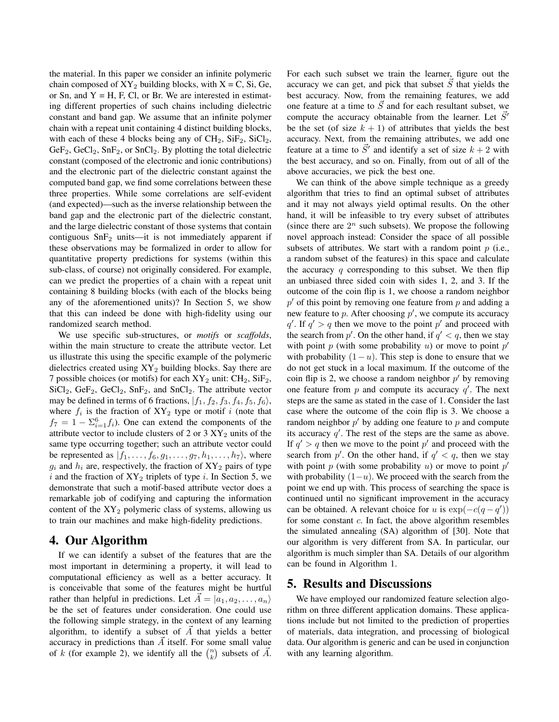the material. In this paper we consider an infinite polymeric chain composed of  $XY_2$  building blocks, with  $X = C$ , Si, Ge, or Sn, and  $Y = H$ , F, Cl, or Br. We are interested in estimating different properties of such chains including dielectric constant and band gap. We assume that an infinite polymer chain with a repeat unit containing 4 distinct building blocks, with each of these 4 blocks being any of  $CH_2$ ,  $SiF_2$ ,  $SiCl_2$ ,  $GeF_2$ ,  $GeC1_2$ ,  $SnF_2$ , or  $SnC1_2$ . By plotting the total dielectric constant (composed of the electronic and ionic contributions) and the electronic part of the dielectric constant against the computed band gap, we find some correlations between these three properties. While some correlations are self-evident (and expected)—such as the inverse relationship between the band gap and the electronic part of the dielectric constant, and the large dielectric constant of those systems that contain contiguous  $SnF<sub>2</sub>$  units—it is not immediately apparent if these observations may be formalized in order to allow for quantitative property predictions for systems (within this sub-class, of course) not originally considered. For example, can we predict the properties of a chain with a repeat unit containing 8 building blocks (with each of the blocks being any of the aforementioned units)? In Section 5, we show that this can indeed be done with high-fidelity using our randomized search method.

We use specific sub-structures, or *motifs* or *scaffolds*, within the main structure to create the attribute vector. Let us illustrate this using the specific example of the polymeric dielectrics created using  $XY_2$  building blocks. Say there are 7 possible choices (or motifs) for each  $XY_2$  unit:  $CH_2$ ,  $SiF_2$ ,  $SiCl<sub>2</sub>$ ,  $GeF<sub>2</sub>$ ,  $GeCl<sub>2</sub>$ ,  $SnF<sub>2</sub>$ , and  $SnCl<sub>2</sub>$ . The attribute vector may be defined in terms of 6 fractions,  $|f_1, f_2, f_3, f_4, f_5, f_6\rangle$ , where  $f_i$  is the fraction of  $XY_2$  type or motif i (note that  $f_7 = 1 - \sum_{i=1}^{6} f_i$ . One can extend the components of the attribute vector to include clusters of 2 or 3  $XY<sub>2</sub>$  units of the same type occurring together; such an attribute vector could be represented as  $|f_1, \ldots, f_6, g_1, \ldots, g_7, h_1, \ldots, h_7\rangle$ , where  $g_i$  and  $h_i$  are, respectively, the fraction of  $XY_2$  pairs of type i and the fraction of  $XY_2$  triplets of type i. In Section 5, we demonstrate that such a motif-based attribute vector does a remarkable job of codifying and capturing the information content of the  $XY_2$  polymeric class of systems, allowing us to train our machines and make high-fidelity predictions.

## 4. Our Algorithm

If we can identify a subset of the features that are the most important in determining a property, it will lead to computational efficiency as well as a better accuracy. It is conceivable that some of the features might be hurtful rather than helpful in predictions. Let  $\vec{A} = |a_1, a_2, \ldots, a_n\rangle$ be the set of features under consideration. One could use the following simple strategy, in the context of any learning algorithm, to identify a subset of  $\vec{A}$  that yields a better accuracy in predictions than  $\vec{A}$  itself. For some small value of k (for example 2), we identify all the  $\binom{n}{k}$  subsets of  $\vec{A}$ . For each such subset we train the learner, figure out the accuracy we can get, and pick that subset  $\vec{S}$  that yields the best accuracy. Now, from the remaining features, we add one feature at a time to  $\ddot{S}$  and for each resultant subset, we compute the accuracy obtainable from the learner. Let  $S'$ be the set (of size  $k + 1$ ) of attributes that yields the best accuracy. Next, from the remaining attributes, we add one feature at a time to  $\vec{S}'$  and identify a set of size  $k + 2$  with the best accuracy, and so on. Finally, from out of all of the above accuracies, we pick the best one.

We can think of the above simple technique as a greedy algorithm that tries to find an optimal subset of attributes and it may not always yield optimal results. On the other hand, it will be infeasible to try every subset of attributes (since there are  $2^n$  such subsets). We propose the following novel approach instead: Consider the space of all possible subsets of attributes. We start with a random point  $p$  (i.e., a random subset of the features) in this space and calculate the accuracy  $q$  corresponding to this subset. We then flip an unbiased three sided coin with sides 1, 2, and 3. If the outcome of the coin flip is 1, we choose a random neighbor  $p'$  of this point by removing one feature from  $p$  and adding a new feature to  $p$ . After choosing  $p'$ , we compute its accuracy q'. If  $q' > q$  then we move to the point p' and proceed with the search from  $p'$ . On the other hand, if  $q' < q$ , then we stay with point  $p$  (with some probability  $u$ ) or move to point  $p'$ with probability  $(1-u)$ . This step is done to ensure that we do not get stuck in a local maximum. If the outcome of the coin flip is 2, we choose a random neighbor  $p'$  by removing one feature from  $p$  and compute its accuracy  $q'$ . The next steps are the same as stated in the case of 1. Consider the last case where the outcome of the coin flip is 3. We choose a random neighbor  $p'$  by adding one feature to  $p$  and compute its accuracy  $q'$ . The rest of the steps are the same as above. If  $q' > q$  then we move to the point p' and proceed with the search from p'. On the other hand, if  $q' < q$ , then we stay with point  $p$  (with some probability  $u$ ) or move to point  $p'$ with probability  $(1-u)$ . We proceed with the search from the point we end up with. This process of searching the space is continued until no significant improvement in the accuracy can be obtained. A relevant choice for u is  $\exp(-c(q - q'))$ for some constant  $c$ . In fact, the above algorithm resembles the simulated annealing (SA) algorithm of [30]. Note that our algorithm is very different from SA. In particular, our algorithm is much simpler than SA. Details of our algorithm can be found in Algorithm 1.

## 5. Results and Discussions

We have employed our randomized feature selection algorithm on three different application domains. These applications include but not limited to the prediction of properties of materials, data integration, and processing of biological data. Our algorithm is generic and can be used in conjunction with any learning algorithm.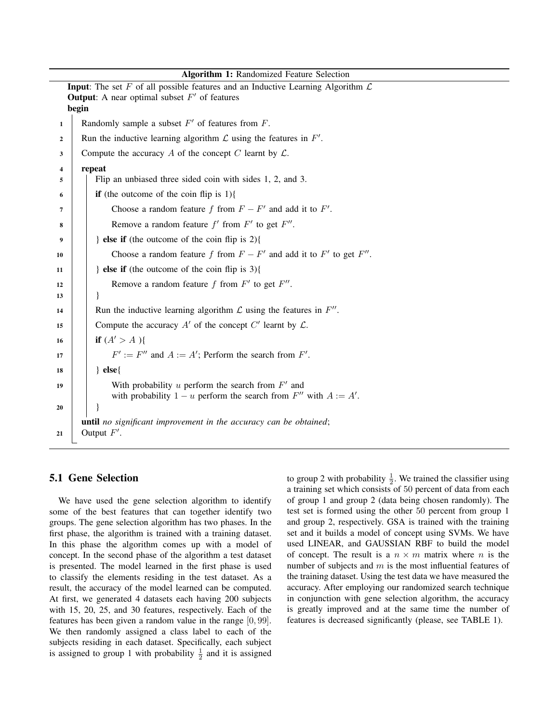|              | <b>Algorithm 1: Randomized Feature Selection</b>                                                     |  |  |  |  |  |  |
|--------------|------------------------------------------------------------------------------------------------------|--|--|--|--|--|--|
|              | <b>Input:</b> The set $F$ of all possible features and an Inductive Learning Algorithm $\mathcal{L}$ |  |  |  |  |  |  |
|              | <b>Output:</b> A near optimal subset $F'$ of features                                                |  |  |  |  |  |  |
|              | begin                                                                                                |  |  |  |  |  |  |
| $\mathbf{1}$ | Randomly sample a subset $F'$ of features from $F$ .                                                 |  |  |  |  |  |  |
| 2            | Run the inductive learning algorithm $\mathcal L$ using the features in $F'$ .                       |  |  |  |  |  |  |
| 3            | Compute the accuracy A of the concept C learnt by $\mathcal{L}$ .                                    |  |  |  |  |  |  |
| 4            | repeat                                                                                               |  |  |  |  |  |  |
| 5            | Flip an unbiased three sided coin with sides 1, 2, and 3.                                            |  |  |  |  |  |  |
| 6            | <b>if</b> (the outcome of the coin flip is $1$ ){                                                    |  |  |  |  |  |  |
| 7            | Choose a random feature f from $F - F'$ and add it to F'.                                            |  |  |  |  |  |  |
| 8            | Remove a random feature $f'$ from $F'$ to get $F''$ .                                                |  |  |  |  |  |  |
| 9            | } else if (the outcome of the coin flip is $2$ ){                                                    |  |  |  |  |  |  |
| 10           | Choose a random feature f from $F - F'$ and add it to F' to get F''.                                 |  |  |  |  |  |  |
| 11           | } else if (the outcome of the coin flip is $3$ ){                                                    |  |  |  |  |  |  |
| 12           | Remove a random feature f from $F'$ to get $F''$ .                                                   |  |  |  |  |  |  |
| 13           | ł                                                                                                    |  |  |  |  |  |  |
| 14           | Run the inductive learning algorithm $\mathcal L$ using the features in $F''$ .                      |  |  |  |  |  |  |
| 15           | Compute the accuracy $A'$ of the concept $C'$ learnt by $\mathcal{L}$ .                              |  |  |  |  |  |  |
| 16           | <b>if</b> $(A' > A)$ {                                                                               |  |  |  |  |  |  |
| 17           | $F' := F''$ and $A := A'$ ; Perform the search from $F'$ .                                           |  |  |  |  |  |  |
| 18           | $\}$ else $\{$                                                                                       |  |  |  |  |  |  |
| 19           | With probability $u$ perform the search from $F'$ and                                                |  |  |  |  |  |  |
|              | with probability $1 - u$ perform the search from $F''$ with $A := A'$ .                              |  |  |  |  |  |  |
| 20           | ł                                                                                                    |  |  |  |  |  |  |
|              | <b>until</b> no significant improvement in the accuracy can be obtained;                             |  |  |  |  |  |  |
| 21           | Output $F'$ .                                                                                        |  |  |  |  |  |  |

#### 5.1 Gene Selection

We have used the gene selection algorithm to identify some of the best features that can together identify two groups. The gene selection algorithm has two phases. In the first phase, the algorithm is trained with a training dataset. In this phase the algorithm comes up with a model of concept. In the second phase of the algorithm a test dataset is presented. The model learned in the first phase is used to classify the elements residing in the test dataset. As a result, the accuracy of the model learned can be computed. At first, we generated 4 datasets each having 200 subjects with 15, 20, 25, and 30 features, respectively. Each of the features has been given a random value in the range [0, 99]. We then randomly assigned a class label to each of the subjects residing in each dataset. Specifically, each subject is assigned to group 1 with probability  $\frac{1}{2}$  and it is assigned

to group 2 with probability  $\frac{1}{2}$ . We trained the classifier using a training set which consists of 50 percent of data from each of group 1 and group 2 (data being chosen randomly). The test set is formed using the other 50 percent from group 1 and group 2, respectively. GSA is trained with the training set and it builds a model of concept using SVMs. We have used LINEAR, and GAUSSIAN RBF to build the model of concept. The result is a  $n \times m$  matrix where n is the number of subjects and  $m$  is the most influential features of the training dataset. Using the test data we have measured the accuracy. After employing our randomized search technique in conjunction with gene selection algorithm, the accuracy is greatly improved and at the same time the number of features is decreased significantly (please, see TABLE 1).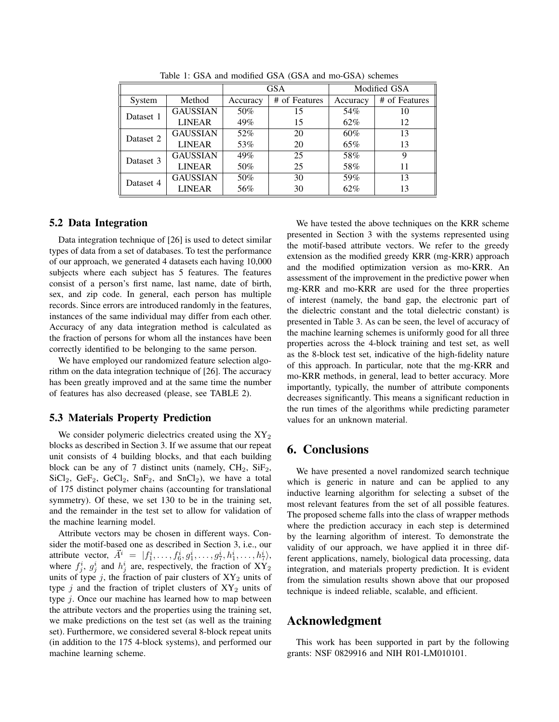|                 |          |               | Modified GSA |               |  |
|-----------------|----------|---------------|--------------|---------------|--|
| Method          | Accuracy | # of Features | Accuracy     | # of Features |  |
| <b>GAUSSIAN</b> | 50%      | 15            | 54%          | 10            |  |
| <b>LINEAR</b>   | 49%      | 15            | 62%          | 12            |  |
| <b>GAUSSIAN</b> | 52%      | 20            | 60%          | 13            |  |
| <b>LINEAR</b>   | 53%      | 20            | 65%          | 13            |  |
| <b>GAUSSIAN</b> | 49%      | 25            | 58%          | 9             |  |
| <b>LINEAR</b>   | 50%      | 25            | 58%          | 11            |  |
| <b>GAUSSIAN</b> | 50%      | 30            | 59%          | 13            |  |
| <b>LINEAR</b>   | 56%      | 30            | 62%          | 13            |  |
|                 |          |               | <b>GSA</b>   |               |  |

Table 1: GSA and modified GSA (GSA and mo-GSA) schemes

## 5.2 Data Integration

Data integration technique of [26] is used to detect similar types of data from a set of databases. To test the performance of our approach, we generated 4 datasets each having 10,000 subjects where each subject has 5 features. The features consist of a person's first name, last name, date of birth, sex, and zip code. In general, each person has multiple records. Since errors are introduced randomly in the features, instances of the same individual may differ from each other. Accuracy of any data integration method is calculated as the fraction of persons for whom all the instances have been correctly identified to be belonging to the same person.

We have employed our randomized feature selection algorithm on the data integration technique of [26]. The accuracy has been greatly improved and at the same time the number of features has also decreased (please, see TABLE 2).

#### 5.3 Materials Property Prediction

We consider polymeric dielectrics created using the  $XY_2$ blocks as described in Section 3. If we assume that our repeat unit consists of 4 building blocks, and that each building block can be any of 7 distinct units (namely,  $CH_2$ ,  $SiF_2$ ,  $SiCl<sub>2</sub>$ ,  $GeF<sub>2</sub>$ ,  $GeCl<sub>2</sub>$ ,  $SnF<sub>2</sub>$ , and  $SnCl<sub>2</sub>$ ), we have a total of 175 distinct polymer chains (accounting for translational symmetry). Of these, we set 130 to be in the training set, and the remainder in the test set to allow for validation of the machine learning model.

Attribute vectors may be chosen in different ways. Consider the motif-based one as described in Section 3, i.e., our attribute vector,  $\vec{A}^i = |f_1^i, \dots, f_6^i, g_1^i, \dots, g_7^i, h_1^i, \dots, h_7^i\rangle$ where  $f_j^i$ ,  $g_j^i$  and  $h_j^i$  are, respectively, the fraction of  $XY_2$ units of type j, the fraction of pair clusters of  $XY_2$  units of type  $j$  and the fraction of triplet clusters of  $XY_2$  units of type j. Once our machine has learned how to map between the attribute vectors and the properties using the training set, we make predictions on the test set (as well as the training set). Furthermore, we considered several 8-block repeat units (in addition to the 175 4-block systems), and performed our machine learning scheme.

We have tested the above techniques on the KRR scheme presented in Section 3 with the systems represented using the motif-based attribute vectors. We refer to the greedy extension as the modified greedy KRR (mg-KRR) approach and the modified optimization version as mo-KRR. An assessment of the improvement in the predictive power when mg-KRR and mo-KRR are used for the three properties of interest (namely, the band gap, the electronic part of the dielectric constant and the total dielectric constant) is presented in Table 3. As can be seen, the level of accuracy of the machine learning schemes is uniformly good for all three properties across the 4-block training and test set, as well as the 8-block test set, indicative of the high-fidelity nature of this approach. In particular, note that the mg-KRR and mo-KRR methods, in general, lead to better accuracy. More importantly, typically, the number of attribute components decreases significantly. This means a significant reduction in the run times of the algorithms while predicting parameter values for an unknown material.

## 6. Conclusions

We have presented a novel randomized search technique which is generic in nature and can be applied to any inductive learning algorithm for selecting a subset of the most relevant features from the set of all possible features. The proposed scheme falls into the class of wrapper methods where the prediction accuracy in each step is determined by the learning algorithm of interest. To demonstrate the validity of our approach, we have applied it in three different applications, namely, biological data processing, data integration, and materials property prediction. It is evident from the simulation results shown above that our proposed technique is indeed reliable, scalable, and efficient.

# Acknowledgment

This work has been supported in part by the following grants: NSF 0829916 and NIH R01-LM010101.